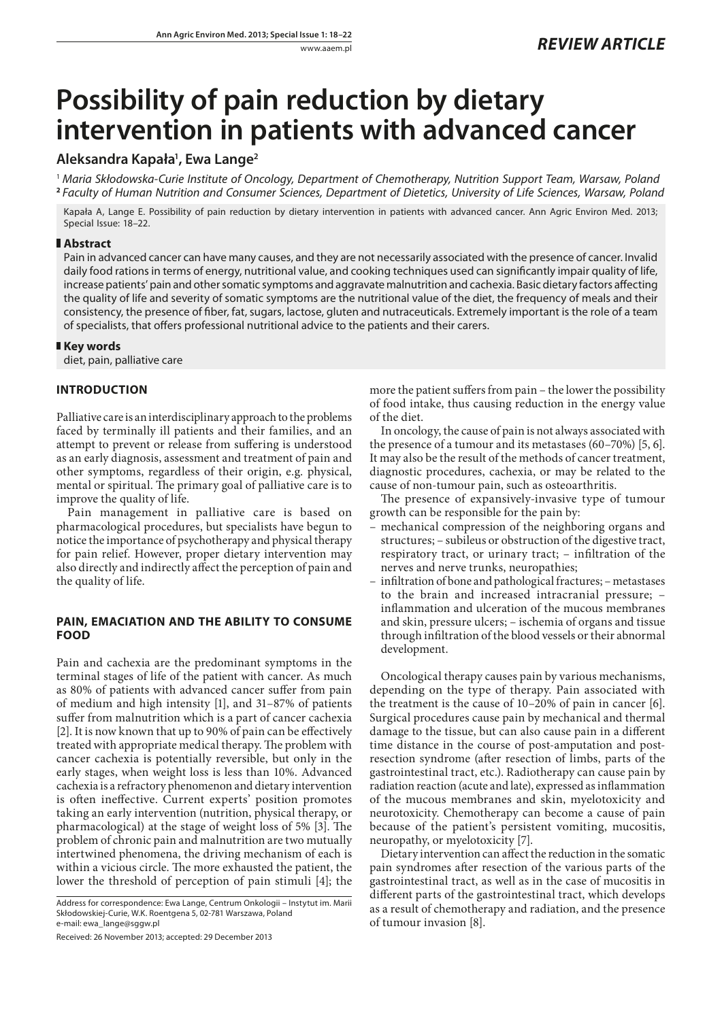# **Possibility of pain reduction by dietary intervention in patients with advanced cancer**

# **Aleksandra Kapała1 , Ewa Lange2**

<sup>1</sup> *Maria Skłodowska-Curie Institute of Oncology, Department of Chemotherapy, Nutrition Support Team, Warsaw, Poland* **<sup>2</sup>** *Faculty of Human Nutrition and Consumer Sciences, Department of Dietetics, University of Life Sciences, Warsaw, Poland*

Kapała A, Lange E. Possibility of pain reduction by dietary intervention in patients with advanced cancer. Ann Agric Environ Med. 2013; Special Issue: 18–22.

### **Abstract**

Pain in advanced cancer can have many causes, and they are not necessarily associated with the presence of cancer. Invalid daily food rations in terms of energy, nutritional value, and cooking techniques used can significantly impair quality of life, increase patients' pain and other somatic symptoms and aggravate malnutrition and cachexia. Basic dietary factors affecting the quality of life and severity of somatic symptoms are the nutritional value of the diet, the frequency of meals and their consistency, the presence of fiber, fat, sugars, lactose, gluten and nutraceuticals. Extremely important is the role of a team of specialists, that offers professional nutritional advice to the patients and their carers.

## **Key words**

diet, pain, palliative care

# **INTRODUCTION**

Palliative care is an interdisciplinary approach to the problems faced by terminally ill patients and their families, and an attempt to prevent or release from suffering is understood as an early diagnosis, assessment and treatment of pain and other symptoms, regardless of their origin, e.g. physical, mental or spiritual. The primary goal of palliative care is to improve the quality of life.

Pain management in palliative care is based on pharmacological procedures, but specialists have begun to notice the importance of psychotherapy and physical therapy for pain relief. However, proper dietary intervention may also directly and indirectly affect the perception of pain and the quality of life.

## **PAIN, EMACIATION AND THE ABILITY TO CONSUME FOOD**

Pain and cachexia are the predominant symptoms in the terminal stages of life of the patient with cancer. As much as 80% of patients with advanced cancer suffer from pain of medium and high intensity [1], and 31–87% of patients suffer from malnutrition which is a part of cancer cachexia [2]. It is now known that up to 90% of pain can be effectively treated with appropriate medical therapy. The problem with cancer cachexia is potentially reversible, but only in the early stages, when weight loss is less than 10%. Advanced cachexia is a refractory phenomenon and dietary intervention is often ineffective. Current experts' position promotes taking an early intervention (nutrition, physical therapy, or pharmacological) at the stage of weight loss of 5% [3]. The problem of chronic pain and malnutrition are two mutually intertwined phenomena, the driving mechanism of each is within a vicious circle. The more exhausted the patient, the lower the threshold of perception of pain stimuli [4]; the

Received: 26 November 2013; accepted: 29 December 2013

more the patient suffers from pain – the lower the possibility of food intake, thus causing reduction in the energy value of the diet.

In oncology, the cause of pain is not always associated with the presence of a tumour and its metastases (60–70%) [5, 6]. It may also be the result of the methods of cancer treatment, diagnostic procedures, cachexia, or may be related to the cause of non-tumour pain, such as osteoarthritis.

The presence of expansively-invasive type of tumour growth can be responsible for the pain by:

- mechanical compression of the neighboring organs and structures; – subileus or obstruction of the digestive tract, respiratory tract, or urinary tract; – infiltration of the nerves and nerve trunks, neuropathies;
- infiltration of bone and pathological fractures; metastases to the brain and increased intracranial pressure; – inflammation and ulceration of the mucous membranes and skin, pressure ulcers; – ischemia of organs and tissue through infiltration of the blood vessels or their abnormal development.

Oncological therapy causes pain by various mechanisms, depending on the type of therapy. Pain associated with the treatment is the cause of 10–20% of pain in cancer [6]. Surgical procedures cause pain by mechanical and thermal damage to the tissue, but can also cause pain in a different time distance in the course of post-amputation and postresection syndrome (after resection of limbs, parts of the gastrointestinal tract, etc.). Radiotherapy can cause pain by radiation reaction (acute and late), expressed as inflammation of the mucous membranes and skin, myelotoxicity and neurotoxicity. Chemotherapy can become a cause of pain because of the patient's persistent vomiting, mucositis, neuropathy, or myelotoxicity [7].

Dietary intervention can affect the reduction in the somatic pain syndromes after resection of the various parts of the gastrointestinal tract, as well as in the case of mucositis in different parts of the gastrointestinal tract, which develops as a result of chemotherapy and radiation, and the presence of tumour invasion [8].

Address for correspondence: Ewa Lange, Centrum Onkologii – Instytut im. Marii Skłodowskiej-Curie, W.K. Roentgena 5, 02-781 Warszawa, Poland e-mail: ewa\_lange@sggw.pl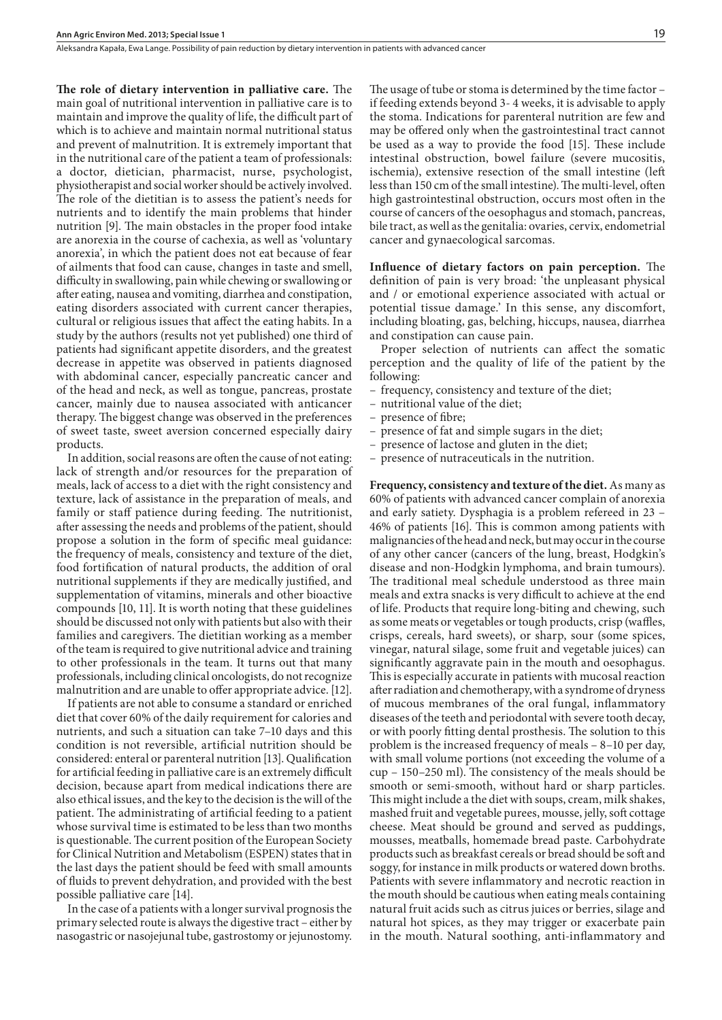**The role of dietary intervention in palliative care.** The main goal of nutritional intervention in palliative care is to maintain and improve the quality of life, the difficult part of which is to achieve and maintain normal nutritional status and prevent of malnutrition. It is extremely important that in the nutritional care of the patient a team of professionals: a doctor, dietician, pharmacist, nurse, psychologist, physiotherapist and social worker should be actively involved. The role of the dietitian is to assess the patient's needs for nutrients and to identify the main problems that hinder nutrition [9]. The main obstacles in the proper food intake are anorexia in the course of cachexia, as well as 'voluntary anorexia', in which the patient does not eat because of fear of ailments that food can cause, changes in taste and smell, difficulty in swallowing, pain while chewing or swallowing or after eating, nausea and vomiting, diarrhea and constipation, eating disorders associated with current cancer therapies, cultural or religious issues that affect the eating habits. In a study by the authors (results not yet published) one third of patients had significant appetite disorders, and the greatest decrease in appetite was observed in patients diagnosed with abdominal cancer, especially pancreatic cancer and of the head and neck, as well as tongue, pancreas, prostate cancer, mainly due to nausea associated with anticancer therapy. The biggest change was observed in the preferences of sweet taste, sweet aversion concerned especially dairy products.

In addition, social reasons are often the cause of not eating: lack of strength and/or resources for the preparation of meals, lack of access to a diet with the right consistency and texture, lack of assistance in the preparation of meals, and family or staff patience during feeding. The nutritionist, after assessing the needs and problems of the patient, should propose a solution in the form of specific meal guidance: the frequency of meals, consistency and texture of the diet, food fortification of natural products, the addition of oral nutritional supplements if they are medically justified, and supplementation of vitamins, minerals and other bioactive compounds [10, 11]. It is worth noting that these guidelines should be discussed not only with patients but also with their families and caregivers. The dietitian working as a member of the team is required to give nutritional advice and training to other professionals in the team. It turns out that many professionals, including clinical oncologists, do not recognize malnutrition and are unable to offer appropriate advice. [12].

If patients are not able to consume a standard or enriched diet that cover 60% of the daily requirement for calories and nutrients, and such a situation can take 7–10 days and this condition is not reversible, artificial nutrition should be considered: enteral or parenteral nutrition [13]. Qualification for artificial feeding in palliative care is an extremely difficult decision, because apart from medical indications there are also ethical issues, and the key to the decision is the will of the patient. The administrating of artificial feeding to a patient whose survival time is estimated to be less than two months is questionable. The current position of the European Society for Clinical Nutrition and Metabolism (ESPEN) states that in the last days the patient should be feed with small amounts of fluids to prevent dehydration, and provided with the best possible palliative care [14].

In the case of a patients with a longer survival prognosis the primary selected route is always the digestive tract – either by nasogastric or nasojejunal tube, gastrostomy or jejunostomy.

The usage of tube or stoma is determined by the time factor – if feeding extends beyond 3- 4 weeks, it is advisable to apply the stoma. Indications for parenteral nutrition are few and may be offered only when the gastrointestinal tract cannot be used as a way to provide the food [15]. These include intestinal obstruction, bowel failure (severe mucositis, ischemia), extensive resection of the small intestine (left less than 150 cm of the small intestine). The multi-level, often high gastrointestinal obstruction, occurs most often in the course of cancers of the oesophagus and stomach, pancreas, bile tract, as well as the genitalia: ovaries, cervix, endometrial cancer and gynaecological sarcomas.

**Influence of dietary factors on pain perception.** The definition of pain is very broad: 'the unpleasant physical and / or emotional experience associated with actual or potential tissue damage.' In this sense, any discomfort, including bloating, gas, belching, hiccups, nausea, diarrhea and constipation can cause pain.

Proper selection of nutrients can affect the somatic perception and the quality of life of the patient by the following:

- frequency, consistency and texture of the diet;
- nutritional value of the diet;
- presence of fibre;
- presence of fat and simple sugars in the diet;
- presence of lactose and gluten in the diet;
- presence of nutraceuticals in the nutrition.

**Frequency, consistency and texture of the diet.** As many as 60% of patients with advanced cancer complain of anorexia and early satiety. Dysphagia is a problem refereed in 23 – 46% of patients [16]. This is common among patients with malignancies of the head and neck, but may occur in the course of any other cancer (cancers of the lung, breast, Hodgkin's disease and non-Hodgkin lymphoma, and brain tumours). The traditional meal schedule understood as three main meals and extra snacks is very difficult to achieve at the end of life. Products that require long-biting and chewing, such as some meats or vegetables or tough products, crisp (waffles, crisps, cereals, hard sweets), or sharp, sour (some spices, vinegar, natural silage, some fruit and vegetable juices) can significantly aggravate pain in the mouth and oesophagus. This is especially accurate in patients with mucosal reaction after radiation and chemotherapy, with a syndrome of dryness of mucous membranes of the oral fungal, inflammatory diseases of the teeth and periodontal with severe tooth decay, or with poorly fitting dental prosthesis. The solution to this problem is the increased frequency of meals – 8–10 per day, with small volume portions (not exceeding the volume of a cup – 150–250 ml). The consistency of the meals should be smooth or semi-smooth, without hard or sharp particles. This might include a the diet with soups, cream, milk shakes, mashed fruit and vegetable purees, mousse, jelly, soft cottage cheese. Meat should be ground and served as puddings, mousses, meatballs, homemade bread paste. Carbohydrate products such as breakfast cereals or bread should be soft and soggy, for instance in milk products or watered down broths. Patients with severe inflammatory and necrotic reaction in the mouth should be cautious when eating meals containing natural fruit acids such as citrus juices or berries, silage and natural hot spices, as they may trigger or exacerbate pain in the mouth. Natural soothing, anti-inflammatory and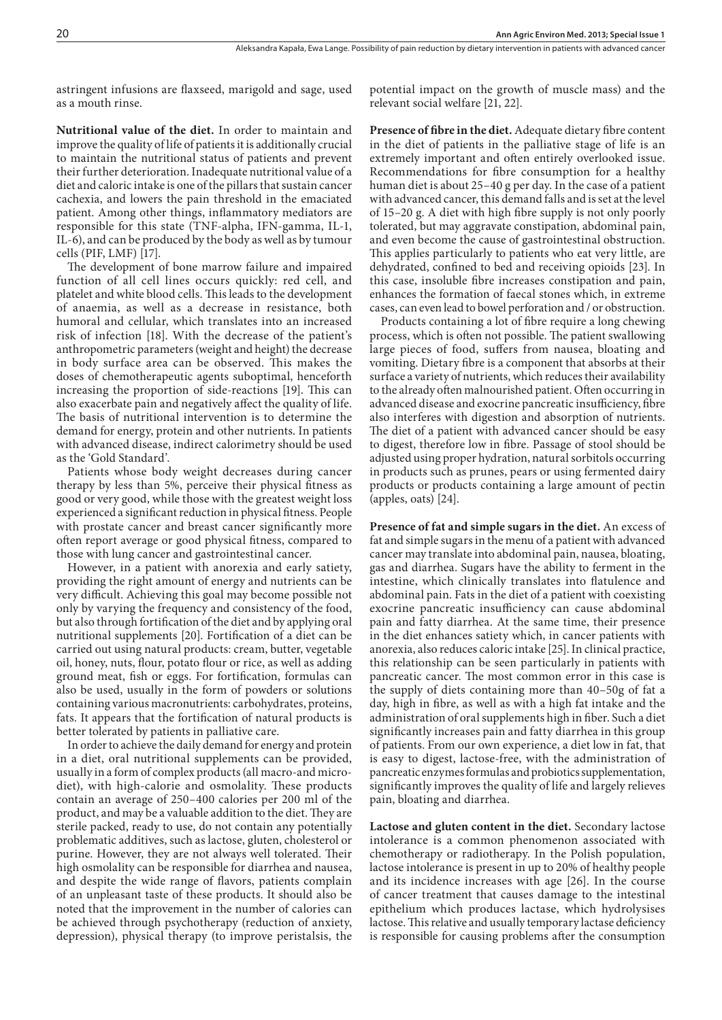astringent infusions are flaxseed, marigold and sage, used as a mouth rinse.

potential impact on the growth of muscle mass) and the relevant social welfare [21, 22].

**Nutritional value of the diet.** In order to maintain and improve the quality of life of patients it is additionally crucial to maintain the nutritional status of patients and prevent their further deterioration. Inadequate nutritional value of a diet and caloric intake is one of the pillars that sustain cancer cachexia, and lowers the pain threshold in the emaciated patient. Among other things, inflammatory mediators are responsible for this state (TNF-alpha, IFN-gamma, IL-1, IL-6), and can be produced by the body as well as by tumour cells (PIF, LMF) [17].

The development of bone marrow failure and impaired function of all cell lines occurs quickly: red cell, and platelet and white blood cells. This leads to the development of anaemia, as well as a decrease in resistance, both humoral and cellular, which translates into an increased risk of infection [18]. With the decrease of the patient's anthropometric parameters (weight and height) the decrease in body surface area can be observed. This makes the doses of chemotherapeutic agents suboptimal, henceforth increasing the proportion of side-reactions [19]. This can also exacerbate pain and negatively affect the quality of life. The basis of nutritional intervention is to determine the demand for energy, protein and other nutrients. In patients with advanced disease, indirect calorimetry should be used as the 'Gold Standard'.

Patients whose body weight decreases during cancer therapy by less than 5%, perceive their physical fitness as good or very good, while those with the greatest weight loss experienced a significant reduction in physical fitness. People with prostate cancer and breast cancer significantly more often report average or good physical fitness, compared to those with lung cancer and gastrointestinal cancer.

However, in a patient with anorexia and early satiety, providing the right amount of energy and nutrients can be very difficult. Achieving this goal may become possible not only by varying the frequency and consistency of the food, but also through fortification of the diet and by applying oral nutritional supplements [20]. Fortification of a diet can be carried out using natural products: cream, butter, vegetable oil, honey, nuts, flour, potato flour or rice, as well as adding ground meat, fish or eggs. For fortification, formulas can also be used, usually in the form of powders or solutions containing various macronutrients: carbohydrates, proteins, fats. It appears that the fortification of natural products is better tolerated by patients in palliative care.

In order to achieve the daily demand for energy and protein in a diet, oral nutritional supplements can be provided, usually in a form of complex products (all macro-and microdiet), with high-calorie and osmolality. These products contain an average of 250–400 calories per 200 ml of the product, and may be a valuable addition to the diet. They are sterile packed, ready to use, do not contain any potentially problematic additives, such as lactose, gluten, cholesterol or purine. However, they are not always well tolerated. Their high osmolality can be responsible for diarrhea and nausea, and despite the wide range of flavors, patients complain of an unpleasant taste of these products. It should also be noted that the improvement in the number of calories can be achieved through psychotherapy (reduction of anxiety, depression), physical therapy (to improve peristalsis, the

**Presence of fibre in the diet.** Adequate dietary fibre content in the diet of patients in the palliative stage of life is an extremely important and often entirely overlooked issue. Recommendations for fibre consumption for a healthy human diet is about 25–40 g per day. In the case of a patient with advanced cancer, this demand falls and is set at the level of 15–20 g. A diet with high fibre supply is not only poorly tolerated, but may aggravate constipation, abdominal pain, and even become the cause of gastrointestinal obstruction. This applies particularly to patients who eat very little, are dehydrated, confined to bed and receiving opioids [23]. In this case, insoluble fibre increases constipation and pain, enhances the formation of faecal stones which, in extreme cases, can even lead to bowel perforation and / or obstruction.

Products containing a lot of fibre require a long chewing process, which is often not possible. The patient swallowing large pieces of food, suffers from nausea, bloating and vomiting. Dietary fibre is a component that absorbs at their surface a variety of nutrients, which reduces their availability to the already often malnourished patient. Often occurring in advanced disease and exocrine pancreatic insufficiency, fibre also interferes with digestion and absorption of nutrients. The diet of a patient with advanced cancer should be easy to digest, therefore low in fibre. Passage of stool should be adjusted using proper hydration, natural sorbitols occurring in products such as prunes, pears or using fermented dairy products or products containing a large amount of pectin (apples, oats) [24].

**Presence of fat and simple sugars in the diet.** An excess of fat and simple sugars in the menu of a patient with advanced cancer may translate into abdominal pain, nausea, bloating, gas and diarrhea. Sugars have the ability to ferment in the intestine, which clinically translates into flatulence and abdominal pain. Fats in the diet of a patient with coexisting exocrine pancreatic insufficiency can cause abdominal pain and fatty diarrhea. At the same time, their presence in the diet enhances satiety which, in cancer patients with anorexia, also reduces caloric intake [25]. In clinical practice, this relationship can be seen particularly in patients with pancreatic cancer. The most common error in this case is the supply of diets containing more than 40–50g of fat a day, high in fibre, as well as with a high fat intake and the administration of oral supplements high in fiber. Such a diet significantly increases pain and fatty diarrhea in this group of patients. From our own experience, a diet low in fat, that is easy to digest, lactose-free, with the administration of pancreatic enzymes formulas and probiotics supplementation, significantly improves the quality of life and largely relieves pain, bloating and diarrhea.

**Lactose and gluten content in the diet.** Secondary lactose intolerance is a common phenomenon associated with chemotherapy or radiotherapy. In the Polish population, lactose intolerance is present in up to 20% of healthy people and its incidence increases with age [26]. In the course of cancer treatment that causes damage to the intestinal epithelium which produces lactase, which hydrolysises lactose. This relative and usually temporary lactase deficiency is responsible for causing problems after the consumption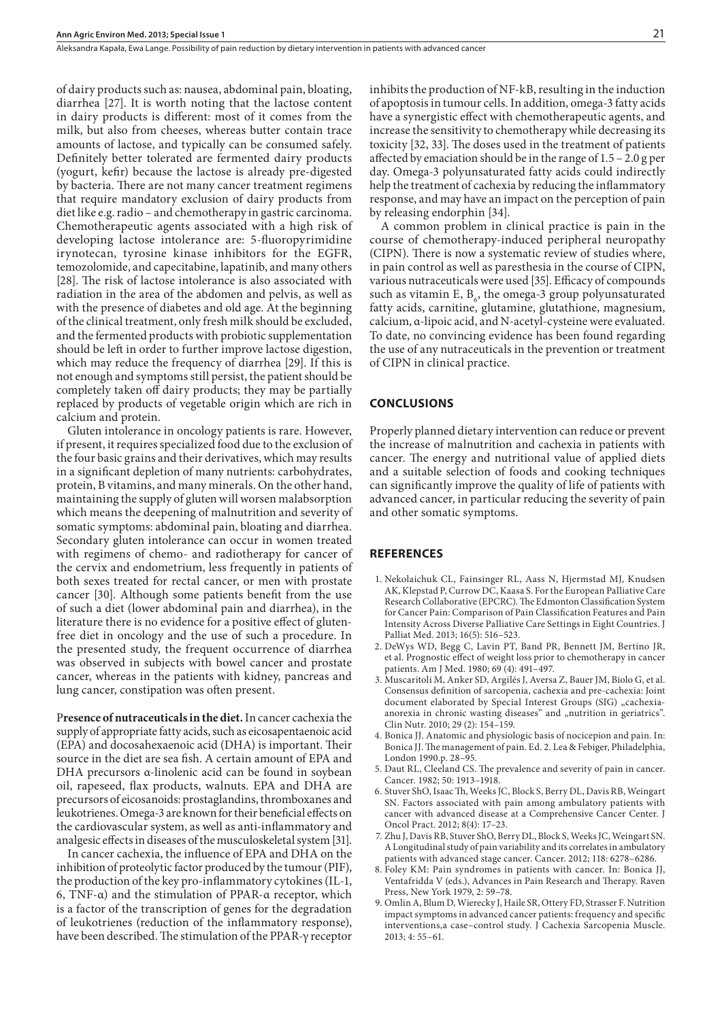Aleksandra Kapała, Ewa Lange . Possibility of pain reduction by dietary intervention in patients with advanced cancer

of dairy products such as: nausea, abdominal pain, bloating, diarrhea [27]. It is worth noting that the lactose content in dairy products is different: most of it comes from the milk, but also from cheeses, whereas butter contain trace amounts of lactose, and typically can be consumed safely. Definitely better tolerated are fermented dairy products (yogurt, kefir) because the lactose is already pre-digested by bacteria. There are not many cancer treatment regimens that require mandatory exclusion of dairy products from diet like e.g. radio – and chemotherapy in gastric carcinoma. Chemotherapeutic agents associated with a high risk of developing lactose intolerance are: 5-fluoropyrimidine irynotecan, tyrosine kinase inhibitors for the EGFR, temozolomide, and capecitabine, lapatinib, and many others [28]. The risk of lactose intolerance is also associated with radiation in the area of the abdomen and pelvis, as well as with the presence of diabetes and old age. At the beginning of the clinical treatment, only fresh milk should be excluded, and the fermented products with probiotic supplementation should be left in order to further improve lactose digestion, which may reduce the frequency of diarrhea [29]. If this is not enough and symptoms still persist, the patient should be completely taken off dairy products; they may be partially replaced by products of vegetable origin which are rich in calcium and protein.

Gluten intolerance in oncology patients is rare. However, if present, it requires specialized food due to the exclusion of the four basic grains and their derivatives, which may results in a significant depletion of many nutrients: carbohydrates, protein, B vitamins, and many minerals. On the other hand, maintaining the supply of gluten will worsen malabsorption which means the deepening of malnutrition and severity of somatic symptoms: abdominal pain, bloating and diarrhea. Secondary gluten intolerance can occur in women treated with regimens of chemo- and radiotherapy for cancer of the cervix and endometrium, less frequently in patients of both sexes treated for rectal cancer, or men with prostate cancer [30]. Although some patients benefit from the use of such a diet (lower abdominal pain and diarrhea), in the literature there is no evidence for a positive effect of glutenfree diet in oncology and the use of such a procedure. In the presented study, the frequent occurrence of diarrhea was observed in subjects with bowel cancer and prostate cancer, whereas in the patients with kidney, pancreas and lung cancer, constipation was often present.

P**resence of nutraceuticals in the diet.** In cancer cachexia the supply of appropriate fatty acids, such as eicosapentaenoic acid (EPA) and docosahexaenoic acid (DHA) is important. Their source in the diet are sea fish. A certain amount of EPA and DHA precursors α-linolenic acid can be found in soybean oil, rapeseed, flax products, walnuts. EPA and DHA are precursors of eicosanoids: prostaglandins, thromboxanes and leukotrienes. Omega-3 are known for their beneficial effects on the cardiovascular system, as well as anti-inflammatory and analgesic effects in diseases of the musculoskeletal system [31].

In cancer cachexia, the influence of EPA and DHA on the inhibition of proteolytic factor produced by the tumour (PIF), the production of the key pro-inflammatory cytokines (IL-1, 6, TNF-α) and the stimulation of PPAR-α receptor, which is a factor of the transcription of genes for the degradation of leukotrienes (reduction of the inflammatory response), have been described. The stimulation of the PPAR-γ receptor

inhibits the production of NF-kB, resulting in the induction of apoptosis in tumour cells. In addition, omega-3 fatty acids have a synergistic effect with chemotherapeutic agents, and increase the sensitivity to chemotherapy while decreasing its toxicity [32, 33]. The doses used in the treatment of patients affected by emaciation should be in the range of 1.5 – 2.0 g per day. Omega-3 polyunsaturated fatty acids could indirectly help the treatment of cachexia by reducing the inflammatory response, and may have an impact on the perception of pain by releasing endorphin [34].

A common problem in clinical practice is pain in the course of chemotherapy-induced peripheral neuropathy (CIPN). There is now a systematic review of studies where, in pain control as well as paresthesia in the course of CIPN, various nutraceuticals were used [35]. Efficacy of compounds such as vitamin E,  $B_6$ , the omega-3 group polyunsaturated fatty acids, carnitine, glutamine, glutathione, magnesium, calcium, α-lipoic acid, and N-acetyl-cysteine were evaluated. To date, no convincing evidence has been found regarding the use of any nutraceuticals in the prevention or treatment of CIPN in clinical practice.

#### **CONCLUSIONS**

Properly planned dietary intervention can reduce or prevent the increase of malnutrition and cachexia in patients with cancer. The energy and nutritional value of applied diets and a suitable selection of foods and cooking techniques can significantly improve the quality of life of patients with advanced cancer, in particular reducing the severity of pain and other somatic symptoms.

#### **REFERENCES**

- 1. Nekolaichuk CL, Fainsinger RL, Aass N, Hjermstad MJ, Knudsen AK, Klepstad P, Currow DC, Kaasa S. For the European Palliative Care Research Collaborative (EPCRC). The Edmonton Classification System for Cancer Pain: Comparison of Pain Classification Features and Pain Intensity Across Diverse Palliative Care Settings in Eight Countries. J Palliat Med. 2013; 16(5): 516–523.
- 2. DeWys WD, Begg C, Lavin PT, Band PR, Bennett JM, Bertino JR, et al. Prognostic effect of weight loss prior to chemotherapy in cancer patients. Am J Med. 1980; 69 (4): 491–497.
- 3. Muscaritoli M, Anker SD, Argilés J, Aversa Z, Bauer JM, Biolo G, et al. Consensus definition of sarcopenia, cachexia and pre-cachexia: Joint document elaborated by Special Interest Groups (SIG) "cachexiaanorexia in chronic wasting diseases" and "nutrition in geriatrics". Clin Nutr. 2010; 29 (2): 154–159.
- 4. Bonica JJ. Anatomic and physiologic basis of nocicepion and pain. In: Bonica JJ. The management of pain. Ed. 2. Lea & Febiger, Philadelphia, London 1990.p. 28–95.
- 5. Daut RL, Cleeland CS. The prevalence and severity of pain in cancer. Cancer. 1982; 50: 1913–1918.
- 6. Stuver ShO, Isaac Th, Weeks JC, Block S, Berry DL, Davis RB, Weingart SN. Factors associated with pain among ambulatory patients with cancer with advanced disease at a Comprehensive Cancer Center. J Oncol Pract. 2012; 8(4): 17–23.
- 7. Zhu J, Davis RB, Stuver ShO, Berry DL, Block S, Weeks JC, Weingart SN. A Longitudinal study of pain variability and its correlates in ambulatory patients with advanced stage cancer. Cancer. 2012; 118: 6278–6286.
- 8. Foley KM: Pain syndromes in patients with cancer. In: Bonica JJ, Ventafridda V (eds.), Advances in Pain Research and Therapy. Raven Press, New York 1979, 2: 59–78.
- 9. Omlin A, Blum D, Wierecky J, Haile SR, Ottery FD, Strasser F. Nutrition impact symptoms in advanced cancer patients: frequency and specific interventions,a case–control study. J Cachexia Sarcopenia Muscle. 2013; 4: 55–61.